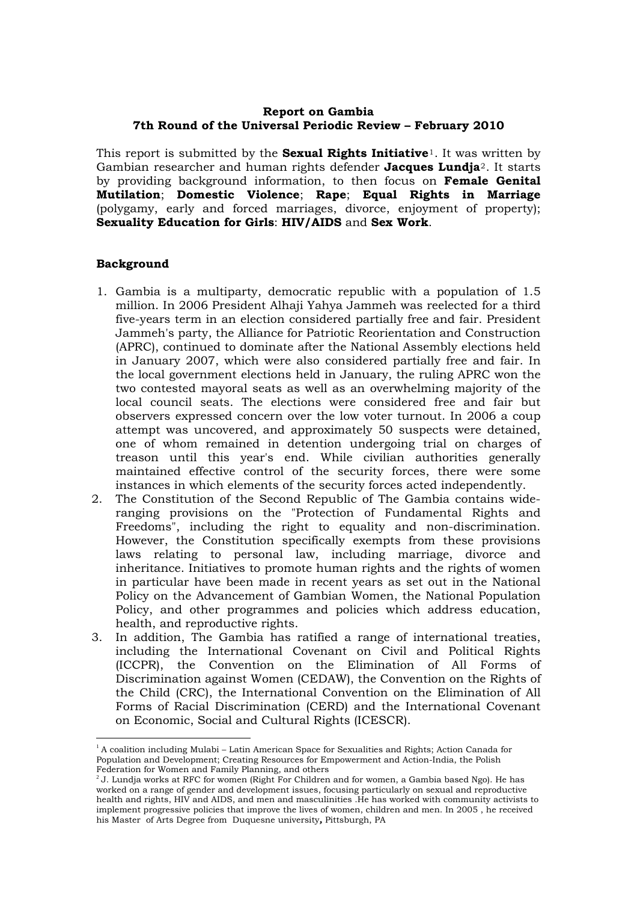# **Report on Gambia 7th Round of the Universal Periodic Review – February 2010**

This report is submitted by the **Sexual Rights Initiative**[1](#page-0-0). It was written by Gambian researcher and human rights defender **Jacques Lundja**[2](#page-0-1). It starts by providing background information, to then focus on **Female Genital Mutilation**; **Domestic Violence**; **Rape**; **Equal Rights in Marriage** (polygamy, early and forced marriages, divorce, enjoyment of property); **Sexuality Education for Girls**: **HIV/AIDS** and **Sex Work**.

## **Background**

 $\overline{a}$ 

- 1. Gambia is a multiparty, democratic republic with a population of 1.5 million. In 2006 President Alhaji Yahya Jammeh was reelected for a third five-years term in an election considered partially free and fair. President Jammeh's party, the Alliance for Patriotic Reorientation and Construction (APRC), continued to dominate after the National Assembly elections held in January 2007, which were also considered partially free and fair. In the local government elections held in January, the ruling APRC won the two contested mayoral seats as well as an overwhelming majority of the local council seats. The elections were considered free and fair but observers expressed concern over the low voter turnout. In 2006 a coup attempt was uncovered, and approximately 50 suspects were detained, one of whom remained in detention undergoing trial on charges of treason until this year's end. While civilian authorities generally maintained effective control of the security forces, there were some instances in which elements of the security forces acted independently.
- 2. The Constitution of the Second Republic of The Gambia contains wideranging provisions on the "Protection of Fundamental Rights and Freedoms", including the right to equality and non-discrimination. However, the Constitution specifically exempts from these provisions laws relating to personal law, including marriage, divorce and inheritance. Initiatives to promote human rights and the rights of women in particular have been made in recent years as set out in the National Policy on the Advancement of Gambian Women, the National Population Policy, and other programmes and policies which address education, health, and reproductive rights.
- 3. In addition, The Gambia has ratified a range of international treaties, including the International Covenant on Civil and Political Rights (ICCPR), the Convention on the Elimination of All Forms of Discrimination against Women (CEDAW), the Convention on the Rights of the Child (CRC), the International Convention on the Elimination of All Forms of Racial Discrimination (CERD) and the International Covenant on Economic, Social and Cultural Rights (ICESCR).

<span id="page-0-0"></span><sup>&</sup>lt;sup>1</sup> A coalition including Mulabi – Latin American Space for Sexualities and Rights; Action Canada for Population and Development; Creating Resources for Empowerment and Action-India, the Polish Federation for Women and Family Planning, and others

<span id="page-0-1"></span><sup>&</sup>lt;sup>2</sup> J. Lundja works at RFC for women (Right For Children and for women, a Gambia based Ngo). He has worked on a range of gender and development issues, focusing particularly on sexual and reproductive health and rights, HIV and AIDS, and men and masculinities .He has worked with community activists to implement progressive policies that improve the lives of women, children and men. In 2005 , he received his Master of Arts Degree from Duquesne university*,* Pittsburgh, PA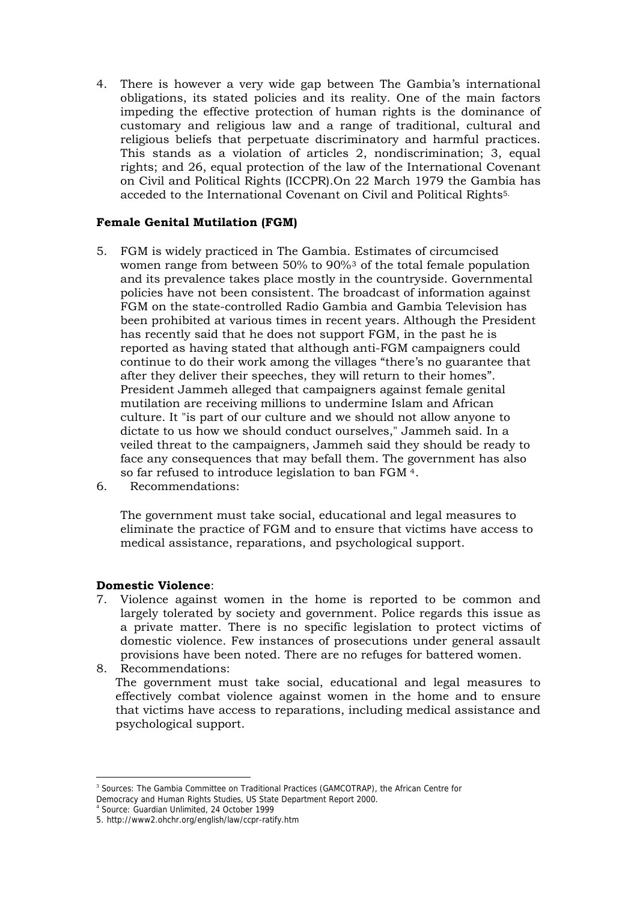4. There is however a very wide gap between The Gambia's international obligations, its stated policies and its reality. One of the main factors impeding the effective protection of human rights is the dominance of customary and religious law and a range of traditional, cultural and religious beliefs that perpetuate discriminatory and harmful practices. This stands as a violation of articles 2, nondiscrimination; 3, equal rights; and 26, equal protection of the law of the International Covenant on Civil and Political Rights (ICCPR).On 22 March 1979 the Gambia has acceded to the International Covenant on Civil and Political Rights5.

# **Female Genital Mutilation (FGM)**

- 5. FGM is widely practiced in The Gambia. Estimates of circumcised women range from between 50% to 90%[3](#page-1-0) of the total female population and its prevalence takes place mostly in the countryside. Governmental policies have not been consistent. The broadcast of information against FGM on the state-controlled Radio Gambia and Gambia Television has been prohibited at various times in recent years. Although the President has recently said that he does not support FGM, in the past he is reported as having stated that although anti-FGM campaigners could continue to do their work among the villages "there's no guarantee that after they deliver their speeches, they will return to their homes". President Jammeh alleged that campaigners against female genital mutilation are receiving millions to undermine Islam and African culture. It "is part of our culture and we should not allow anyone to dictate to us how we should conduct ourselves," Jammeh said. In a veiled threat to the campaigners, Jammeh said they should be ready to face any consequences that may befall them. The government has also so far refused to introduce legislation to ban FGM [4](#page-1-1).
- 6. Recommendations:

The government must take social, educational and legal measures to eliminate the practice of FGM and to ensure that victims have access to medical assistance, reparations, and psychological support.

# **Domestic Violence**:

- 7. Violence against women in the home is reported to be common and largely tolerated by society and government. Police regards this issue as a private matter. There is no specific legislation to protect victims of domestic violence. Few instances of prosecutions under general assault provisions have been noted. There are no refuges for battered women.
- 8. Recommendations: The government must take social, educational and legal measures to effectively combat violence against women in the home and to ensure that victims have access to reparations, including medical assistance and psychological support.

<span id="page-1-0"></span> $\overline{a}$ <sup>3</sup> Sources: The Gambia Committee on Traditional Practices (GAMCOTRAP), the African Centre for Democracy and Human Rights Studies, US State Department Report 2000.

<span id="page-1-1"></span><sup>4</sup> Source: Guardian Unlimited, 24 October 1999

<sup>5.</sup> http://www2.ohchr.org/english/law/ccpr-ratify.htm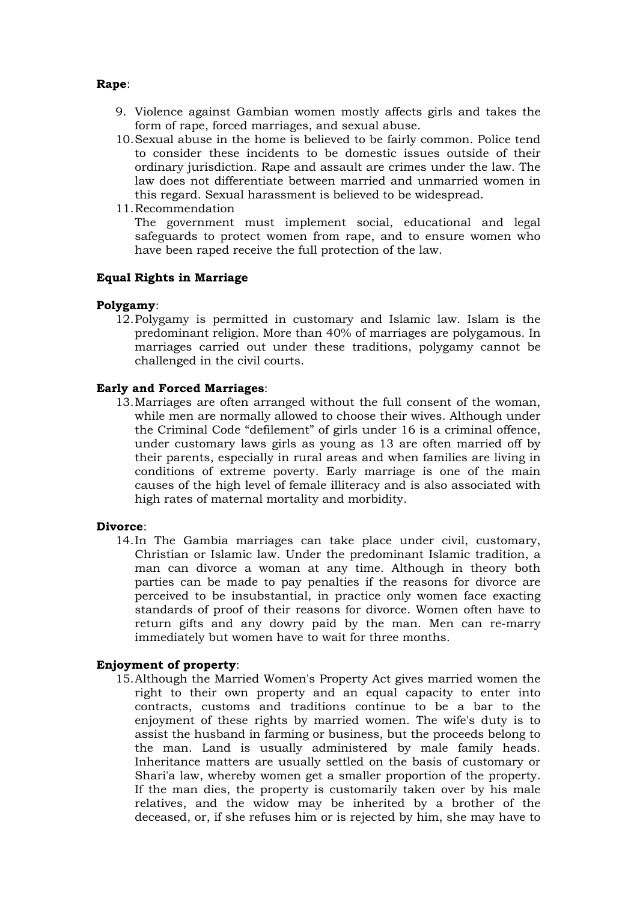### **Rape**:

- 9. Violence against Gambian women mostly affects girls and takes the form of rape, forced marriages, and sexual abuse.
- 10.Sexual abuse in the home is believed to be fairly common. Police tend to consider these incidents to be domestic issues outside of their ordinary jurisdiction. Rape and assault are crimes under the law. The law does not differentiate between married and unmarried women in this regard. Sexual harassment is believed to be widespread.
- 11.Recommendation

The government must implement social, educational and legal safeguards to protect women from rape, and to ensure women who have been raped receive the full protection of the law.

## **Equal Rights in Marriage**

## **Polygamy**:

12.Polygamy is permitted in customary and Islamic law. Islam is the predominant religion. More than 40% of marriages are polygamous. In marriages carried out under these traditions, polygamy cannot be challenged in the civil courts.

## **Early and Forced Marriages**:

13.Marriages are often arranged without the full consent of the woman, while men are normally allowed to choose their wives. Although under the Criminal Code "defilement" of girls under 16 is a criminal offence, under customary laws girls as young as 13 are often married off by their parents, especially in rural areas and when families are living in conditions of extreme poverty. Early marriage is one of the main causes of the high level of female illiteracy and is also associated with high rates of maternal mortality and morbidity.

### **Divorce**:

14.In The Gambia marriages can take place under civil, customary, Christian or Islamic law. Under the predominant Islamic tradition, a man can divorce a woman at any time. Although in theory both parties can be made to pay penalties if the reasons for divorce are perceived to be insubstantial, in practice only women face exacting standards of proof of their reasons for divorce. Women often have to return gifts and any dowry paid by the man. Men can re-marry immediately but women have to wait for three months.

# **Enjoyment of property**:

15.Although the Married Women's Property Act gives married women the right to their own property and an equal capacity to enter into contracts, customs and traditions continue to be a bar to the enjoyment of these rights by married women. The wife's duty is to assist the husband in farming or business, but the proceeds belong to the man. Land is usually administered by male family heads. Inheritance matters are usually settled on the basis of customary or Shari'a law, whereby women get a smaller proportion of the property. If the man dies, the property is customarily taken over by his male relatives, and the widow may be inherited by a brother of the deceased, or, if she refuses him or is rejected by him, she may have to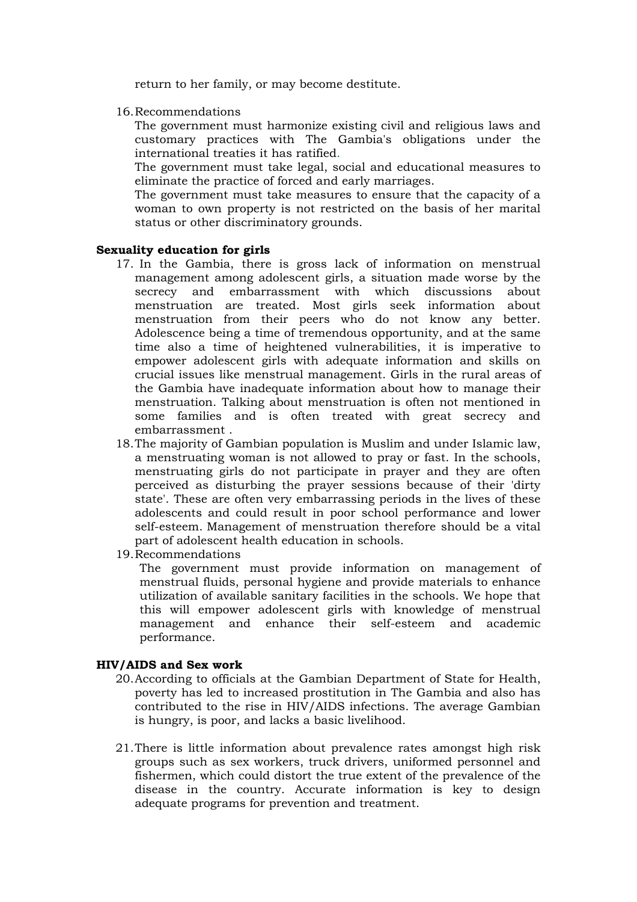return to her family, or may become destitute.

16.Recommendations

The government must harmonize existing civil and religious laws and customary practices with The Gambia's obligations under the international treaties it has ratified.

The government must take legal, social and educational measures to eliminate the practice of forced and early marriages.

The government must take measures to ensure that the capacity of a woman to own property is not restricted on the basis of her marital status or other discriminatory grounds.

#### **Sexuality education for girls**

- 17. In the Gambia, there is gross lack of information on menstrual management among adolescent girls, a situation made worse by the secrecy and embarrassment with which discussions about menstruation are treated. Most girls seek information about menstruation from their peers who do not know any better. Adolescence being a time of tremendous opportunity, and at the same time also a time of heightened vulnerabilities, it is imperative to empower adolescent girls with adequate information and skills on crucial issues like menstrual management. Girls in the rural areas of the Gambia have inadequate information about how to manage their menstruation. Talking about menstruation is often not mentioned in some families and is often treated with great secrecy and embarrassment .
- 18.The majority of Gambian population is Muslim and under Islamic law, a menstruating woman is not allowed to pray or fast. In the schools, menstruating girls do not participate in prayer and they are often perceived as disturbing the prayer sessions because of their 'dirty state'. These are often very embarrassing periods in the lives of these adolescents and could result in poor school performance and lower self-esteem. Management of menstruation therefore should be a vital part of adolescent health education in schools.
- 19.Recommendations

The government must provide information on management of menstrual fluids, personal hygiene and provide materials to enhance utilization of available sanitary facilities in the schools. We hope that this will empower adolescent girls with knowledge of menstrual management and enhance their self-esteem and academic performance.

#### **HIV/AIDS and Sex work**

- 20.According to officials at the Gambian Department of State for Health, poverty has led to increased prostitution in The Gambia and also has contributed to the rise in HIV/AIDS infections. The average Gambian is hungry, is poor, and lacks a basic livelihood.
- 21.There is little information about prevalence rates amongst high risk groups such as sex workers, truck drivers, uniformed personnel and fishermen, which could distort the true extent of the prevalence of the disease in the country. Accurate information is key to design adequate programs for prevention and treatment.